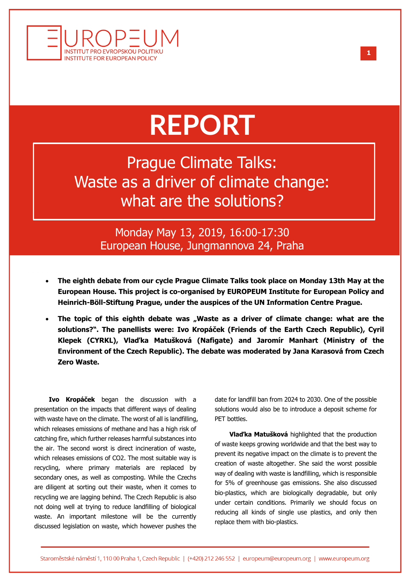

## **REPORT**

Prague Climate Talks: Waste as a driver of climate change: what are the solutions?

> Monday May 13, 2019, 16:00-17:30 European House, Jungmannova 24, Praha

- **The eighth debate from our cycle Prague Climate Talks took place on Monday 13th May at the European House. This project is co-organised by EUROPEUM Institute for European Policy and Heinrich-Böll-Stiftung Prague, under the auspices of the UN Information Centre Prague.**
- The topic of this eighth debate was "Waste as a driver of climate change: what are the **solutions?". The panellists were: Ivo Kropáček (Friends of the Earth Czech Republic), Cyril Klepek (CYRKL), Vlaďka Matušková (Nafigate) and Jaromír Manhart (Ministry of the Environment of the Czech Republic). The debate was moderated by Jana Karasová from Czech Zero Waste.**

**Ivo Kropáček** began the discussion with a presentation on the impacts that different ways of dealing with waste have on the climate. The worst of all is landfilling, which releases emissions of methane and has a high risk of catching fire, which further releases harmful substances into the air. The second worst is direct incineration of waste, which releases emissions of CO2. The most suitable way is recycling, where primary materials are replaced by secondary ones, as well as composting. While the Czechs are diligent at sorting out their waste, when it comes to recycling we are lagging behind. The Czech Republic is also not doing well at trying to reduce landfilling of biological waste. An important milestone will be the currently discussed legislation on waste, which however pushes the

date for landfill ban from 2024 to 2030. One of the possible solutions would also be to introduce a deposit scheme for PET bottles.

**Vlaďka Matušková** highlighted that the production of waste keeps growing worldwide and that the best way to prevent its negative impact on the climate is to prevent the creation of waste altogether. She said the worst possible way of dealing with waste is landfilling, which is responsible for 5% of greenhouse gas emissions. She also discussed bio-plastics, which are biologically degradable, but only under certain conditions. Primarily we should focus on reducing all kinds of single use plastics, and only then replace them with bio-plastics.